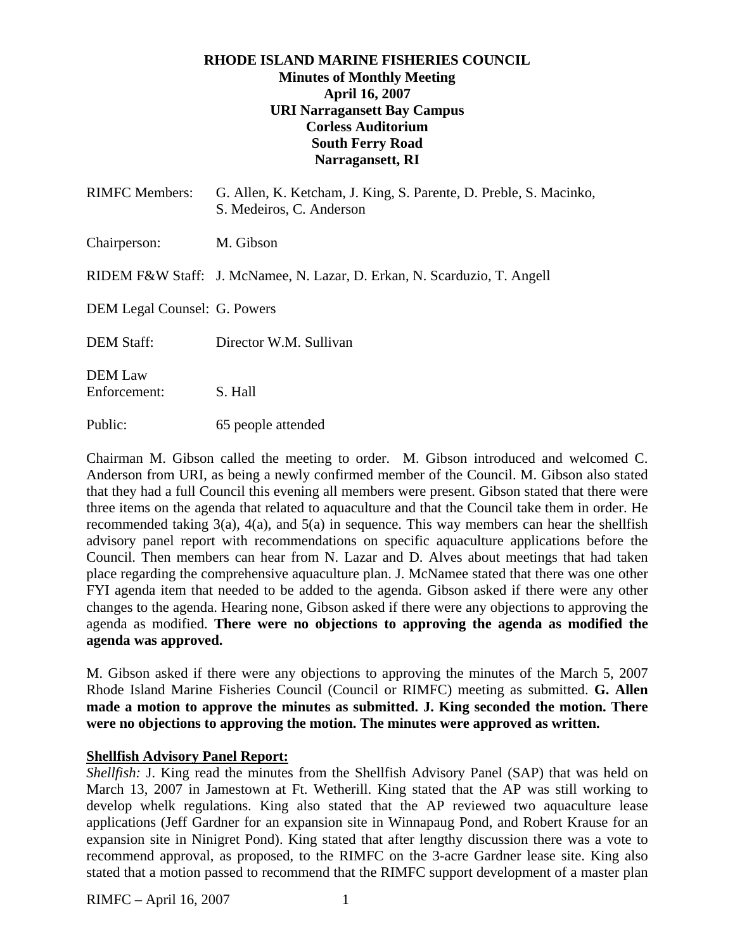### **RHODE ISLAND MARINE FISHERIES COUNCIL Minutes of Monthly Meeting April 16, 2007 URI Narragansett Bay Campus Corless Auditorium South Ferry Road Narragansett, RI**

| <b>RIMFC</b> Members:          | G. Allen, K. Ketcham, J. King, S. Parente, D. Preble, S. Macinko,<br>S. Medeiros, C. Anderson |
|--------------------------------|-----------------------------------------------------------------------------------------------|
| Chairperson:                   | M. Gibson                                                                                     |
|                                | RIDEM F&W Staff: J. McNamee, N. Lazar, D. Erkan, N. Scarduzio, T. Angell                      |
| DEM Legal Counsel: G. Powers   |                                                                                               |
| <b>DEM Staff:</b>              | Director W.M. Sullivan                                                                        |
| <b>DEM</b> Law<br>Enforcement: | S. Hall                                                                                       |
| Public:                        | 65 people attended                                                                            |

Chairman M. Gibson called the meeting to order. M. Gibson introduced and welcomed C. Anderson from URI, as being a newly confirmed member of the Council. M. Gibson also stated that they had a full Council this evening all members were present. Gibson stated that there were three items on the agenda that related to aquaculture and that the Council take them in order. He recommended taking  $3(a)$ ,  $4(a)$ , and  $5(a)$  in sequence. This way members can hear the shellfish advisory panel report with recommendations on specific aquaculture applications before the Council. Then members can hear from N. Lazar and D. Alves about meetings that had taken place regarding the comprehensive aquaculture plan. J. McNamee stated that there was one other FYI agenda item that needed to be added to the agenda. Gibson asked if there were any other changes to the agenda. Hearing none, Gibson asked if there were any objections to approving the agenda as modified. **There were no objections to approving the agenda as modified the agenda was approved.** 

M. Gibson asked if there were any objections to approving the minutes of the March 5, 2007 Rhode Island Marine Fisheries Council (Council or RIMFC) meeting as submitted. **G. Allen made a motion to approve the minutes as submitted. J. King seconded the motion. There were no objections to approving the motion. The minutes were approved as written.**

#### **Shellfish Advisory Panel Report:**

*Shellfish:* J. King read the minutes from the Shellfish Advisory Panel (SAP) that was held on March 13, 2007 in Jamestown at Ft. Wetherill. King stated that the AP was still working to develop whelk regulations. King also stated that the AP reviewed two aquaculture lease applications (Jeff Gardner for an expansion site in Winnapaug Pond, and Robert Krause for an expansion site in Ninigret Pond). King stated that after lengthy discussion there was a vote to recommend approval, as proposed, to the RIMFC on the 3-acre Gardner lease site. King also stated that a motion passed to recommend that the RIMFC support development of a master plan

RIMFC – April 16, 2007 1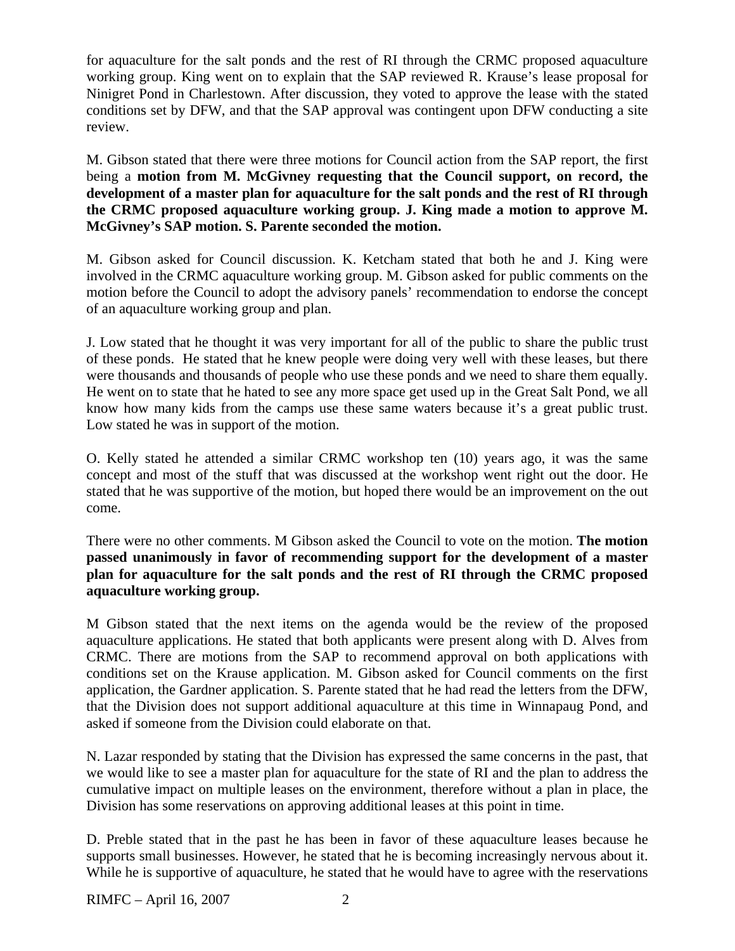for aquaculture for the salt ponds and the rest of RI through the CRMC proposed aquaculture working group. King went on to explain that the SAP reviewed R. Krause's lease proposal for Ninigret Pond in Charlestown. After discussion, they voted to approve the lease with the stated conditions set by DFW, and that the SAP approval was contingent upon DFW conducting a site review.

M. Gibson stated that there were three motions for Council action from the SAP report, the first being a **motion from M. McGivney requesting that the Council support, on record, the development of a master plan for aquaculture for the salt ponds and the rest of RI through the CRMC proposed aquaculture working group. J. King made a motion to approve M. McGivney's SAP motion. S. Parente seconded the motion.**

M. Gibson asked for Council discussion. K. Ketcham stated that both he and J. King were involved in the CRMC aquaculture working group. M. Gibson asked for public comments on the motion before the Council to adopt the advisory panels' recommendation to endorse the concept of an aquaculture working group and plan.

J. Low stated that he thought it was very important for all of the public to share the public trust of these ponds. He stated that he knew people were doing very well with these leases, but there were thousands and thousands of people who use these ponds and we need to share them equally. He went on to state that he hated to see any more space get used up in the Great Salt Pond, we all know how many kids from the camps use these same waters because it's a great public trust. Low stated he was in support of the motion.

O. Kelly stated he attended a similar CRMC workshop ten (10) years ago, it was the same concept and most of the stuff that was discussed at the workshop went right out the door. He stated that he was supportive of the motion, but hoped there would be an improvement on the out come.

There were no other comments. M Gibson asked the Council to vote on the motion. **The motion passed unanimously in favor of recommending support for the development of a master plan for aquaculture for the salt ponds and the rest of RI through the CRMC proposed aquaculture working group.** 

M Gibson stated that the next items on the agenda would be the review of the proposed aquaculture applications. He stated that both applicants were present along with D. Alves from CRMC. There are motions from the SAP to recommend approval on both applications with conditions set on the Krause application. M. Gibson asked for Council comments on the first application, the Gardner application. S. Parente stated that he had read the letters from the DFW, that the Division does not support additional aquaculture at this time in Winnapaug Pond, and asked if someone from the Division could elaborate on that.

N. Lazar responded by stating that the Division has expressed the same concerns in the past, that we would like to see a master plan for aquaculture for the state of RI and the plan to address the cumulative impact on multiple leases on the environment, therefore without a plan in place, the Division has some reservations on approving additional leases at this point in time.

D. Preble stated that in the past he has been in favor of these aquaculture leases because he supports small businesses. However, he stated that he is becoming increasingly nervous about it. While he is supportive of aquaculture, he stated that he would have to agree with the reservations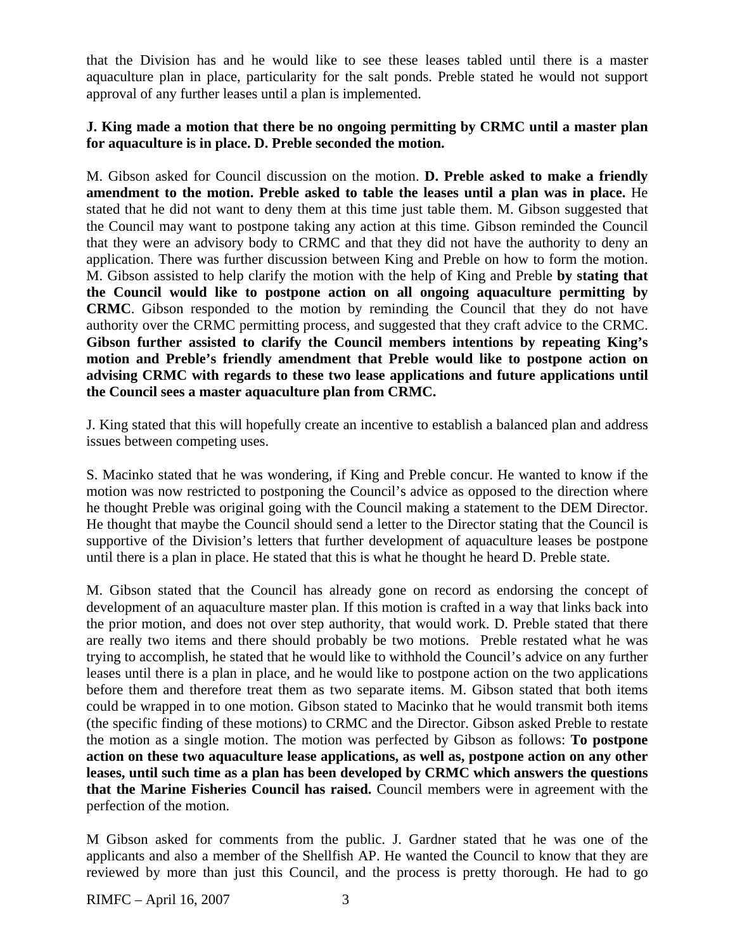that the Division has and he would like to see these leases tabled until there is a master aquaculture plan in place, particularity for the salt ponds. Preble stated he would not support approval of any further leases until a plan is implemented.

### **J. King made a motion that there be no ongoing permitting by CRMC until a master plan for aquaculture is in place. D. Preble seconded the motion.**

M. Gibson asked for Council discussion on the motion. **D. Preble asked to make a friendly amendment to the motion. Preble asked to table the leases until a plan was in place.** He stated that he did not want to deny them at this time just table them. M. Gibson suggested that the Council may want to postpone taking any action at this time. Gibson reminded the Council that they were an advisory body to CRMC and that they did not have the authority to deny an application. There was further discussion between King and Preble on how to form the motion. M. Gibson assisted to help clarify the motion with the help of King and Preble **by stating that the Council would like to postpone action on all ongoing aquaculture permitting by CRMC**. Gibson responded to the motion by reminding the Council that they do not have authority over the CRMC permitting process, and suggested that they craft advice to the CRMC. **Gibson further assisted to clarify the Council members intentions by repeating King's motion and Preble's friendly amendment that Preble would like to postpone action on advising CRMC with regards to these two lease applications and future applications until the Council sees a master aquaculture plan from CRMC.** 

J. King stated that this will hopefully create an incentive to establish a balanced plan and address issues between competing uses.

S. Macinko stated that he was wondering, if King and Preble concur. He wanted to know if the motion was now restricted to postponing the Council's advice as opposed to the direction where he thought Preble was original going with the Council making a statement to the DEM Director. He thought that maybe the Council should send a letter to the Director stating that the Council is supportive of the Division's letters that further development of aquaculture leases be postpone until there is a plan in place. He stated that this is what he thought he heard D. Preble state.

M. Gibson stated that the Council has already gone on record as endorsing the concept of development of an aquaculture master plan. If this motion is crafted in a way that links back into the prior motion, and does not over step authority, that would work. D. Preble stated that there are really two items and there should probably be two motions. Preble restated what he was trying to accomplish, he stated that he would like to withhold the Council's advice on any further leases until there is a plan in place, and he would like to postpone action on the two applications before them and therefore treat them as two separate items. M. Gibson stated that both items could be wrapped in to one motion. Gibson stated to Macinko that he would transmit both items (the specific finding of these motions) to CRMC and the Director. Gibson asked Preble to restate the motion as a single motion. The motion was perfected by Gibson as follows: **To postpone action on these two aquaculture lease applications, as well as, postpone action on any other leases, until such time as a plan has been developed by CRMC which answers the questions that the Marine Fisheries Council has raised.** Council members were in agreement with the perfection of the motion.

M Gibson asked for comments from the public. J. Gardner stated that he was one of the applicants and also a member of the Shellfish AP. He wanted the Council to know that they are reviewed by more than just this Council, and the process is pretty thorough. He had to go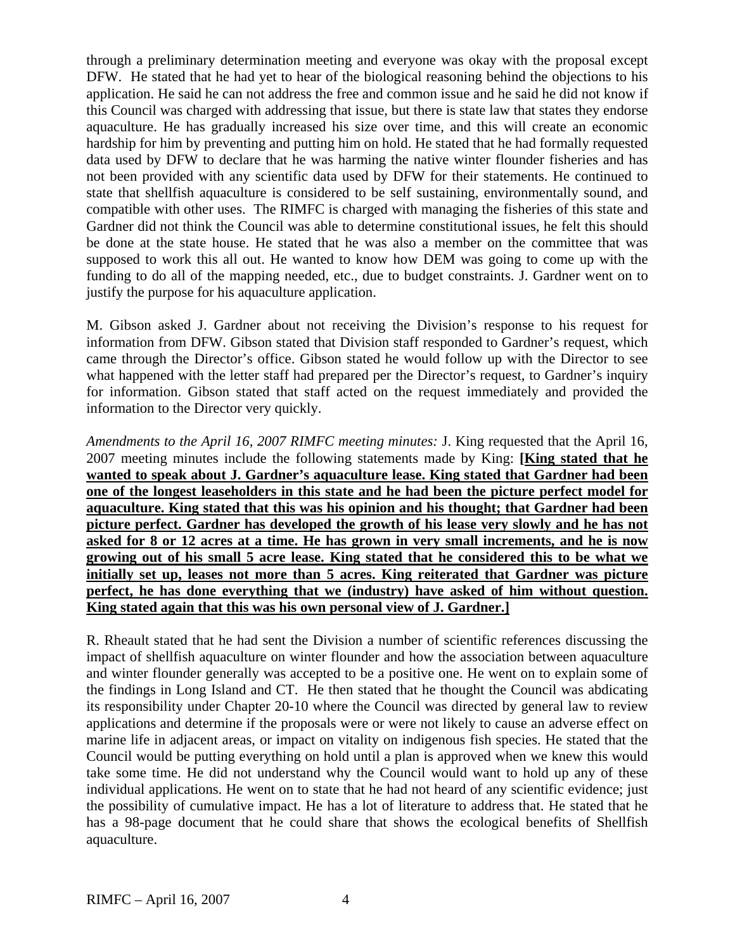through a preliminary determination meeting and everyone was okay with the proposal except DFW. He stated that he had yet to hear of the biological reasoning behind the objections to his application. He said he can not address the free and common issue and he said he did not know if this Council was charged with addressing that issue, but there is state law that states they endorse aquaculture. He has gradually increased his size over time, and this will create an economic hardship for him by preventing and putting him on hold. He stated that he had formally requested data used by DFW to declare that he was harming the native winter flounder fisheries and has not been provided with any scientific data used by DFW for their statements. He continued to state that shellfish aquaculture is considered to be self sustaining, environmentally sound, and compatible with other uses. The RIMFC is charged with managing the fisheries of this state and Gardner did not think the Council was able to determine constitutional issues, he felt this should be done at the state house. He stated that he was also a member on the committee that was supposed to work this all out. He wanted to know how DEM was going to come up with the funding to do all of the mapping needed, etc., due to budget constraints. J. Gardner went on to justify the purpose for his aquaculture application.

M. Gibson asked J. Gardner about not receiving the Division's response to his request for information from DFW. Gibson stated that Division staff responded to Gardner's request, which came through the Director's office. Gibson stated he would follow up with the Director to see what happened with the letter staff had prepared per the Director's request, to Gardner's inquiry for information. Gibson stated that staff acted on the request immediately and provided the information to the Director very quickly.

*Amendments to the April 16, 2007 RIMFC meeting minutes:* J. King requested that the April 16, 2007 meeting minutes include the following statements made by King: **[King stated that he wanted to speak about J. Gardner's aquaculture lease. King stated that Gardner had been one of the longest leaseholders in this state and he had been the picture perfect model for aquaculture. King stated that this was his opinion and his thought; that Gardner had been picture perfect. Gardner has developed the growth of his lease very slowly and he has not asked for 8 or 12 acres at a time. He has grown in very small increments, and he is now growing out of his small 5 acre lease. King stated that he considered this to be what we initially set up, leases not more than 5 acres. King reiterated that Gardner was picture perfect, he has done everything that we (industry) have asked of him without question. King stated again that this was his own personal view of J. Gardner.]**

R. Rheault stated that he had sent the Division a number of scientific references discussing the impact of shellfish aquaculture on winter flounder and how the association between aquaculture and winter flounder generally was accepted to be a positive one. He went on to explain some of the findings in Long Island and CT. He then stated that he thought the Council was abdicating its responsibility under Chapter 20-10 where the Council was directed by general law to review applications and determine if the proposals were or were not likely to cause an adverse effect on marine life in adjacent areas, or impact on vitality on indigenous fish species. He stated that the Council would be putting everything on hold until a plan is approved when we knew this would take some time. He did not understand why the Council would want to hold up any of these individual applications. He went on to state that he had not heard of any scientific evidence; just the possibility of cumulative impact. He has a lot of literature to address that. He stated that he has a 98-page document that he could share that shows the ecological benefits of Shellfish aquaculture.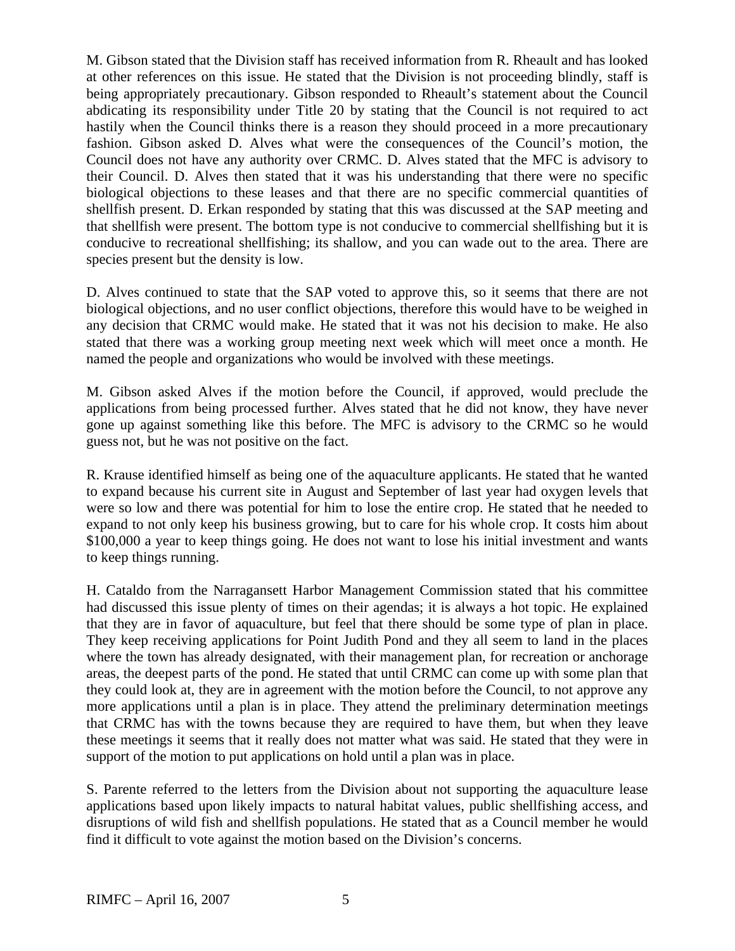M. Gibson stated that the Division staff has received information from R. Rheault and has looked at other references on this issue. He stated that the Division is not proceeding blindly, staff is being appropriately precautionary. Gibson responded to Rheault's statement about the Council abdicating its responsibility under Title 20 by stating that the Council is not required to act hastily when the Council thinks there is a reason they should proceed in a more precautionary fashion. Gibson asked D. Alves what were the consequences of the Council's motion, the Council does not have any authority over CRMC. D. Alves stated that the MFC is advisory to their Council. D. Alves then stated that it was his understanding that there were no specific biological objections to these leases and that there are no specific commercial quantities of shellfish present. D. Erkan responded by stating that this was discussed at the SAP meeting and that shellfish were present. The bottom type is not conducive to commercial shellfishing but it is conducive to recreational shellfishing; its shallow, and you can wade out to the area. There are species present but the density is low.

D. Alves continued to state that the SAP voted to approve this, so it seems that there are not biological objections, and no user conflict objections, therefore this would have to be weighed in any decision that CRMC would make. He stated that it was not his decision to make. He also stated that there was a working group meeting next week which will meet once a month. He named the people and organizations who would be involved with these meetings.

M. Gibson asked Alves if the motion before the Council, if approved, would preclude the applications from being processed further. Alves stated that he did not know, they have never gone up against something like this before. The MFC is advisory to the CRMC so he would guess not, but he was not positive on the fact.

R. Krause identified himself as being one of the aquaculture applicants. He stated that he wanted to expand because his current site in August and September of last year had oxygen levels that were so low and there was potential for him to lose the entire crop. He stated that he needed to expand to not only keep his business growing, but to care for his whole crop. It costs him about \$100,000 a year to keep things going. He does not want to lose his initial investment and wants to keep things running.

H. Cataldo from the Narragansett Harbor Management Commission stated that his committee had discussed this issue plenty of times on their agendas; it is always a hot topic. He explained that they are in favor of aquaculture, but feel that there should be some type of plan in place. They keep receiving applications for Point Judith Pond and they all seem to land in the places where the town has already designated, with their management plan, for recreation or anchorage areas, the deepest parts of the pond. He stated that until CRMC can come up with some plan that they could look at, they are in agreement with the motion before the Council, to not approve any more applications until a plan is in place. They attend the preliminary determination meetings that CRMC has with the towns because they are required to have them, but when they leave these meetings it seems that it really does not matter what was said. He stated that they were in support of the motion to put applications on hold until a plan was in place.

S. Parente referred to the letters from the Division about not supporting the aquaculture lease applications based upon likely impacts to natural habitat values, public shellfishing access, and disruptions of wild fish and shellfish populations. He stated that as a Council member he would find it difficult to vote against the motion based on the Division's concerns.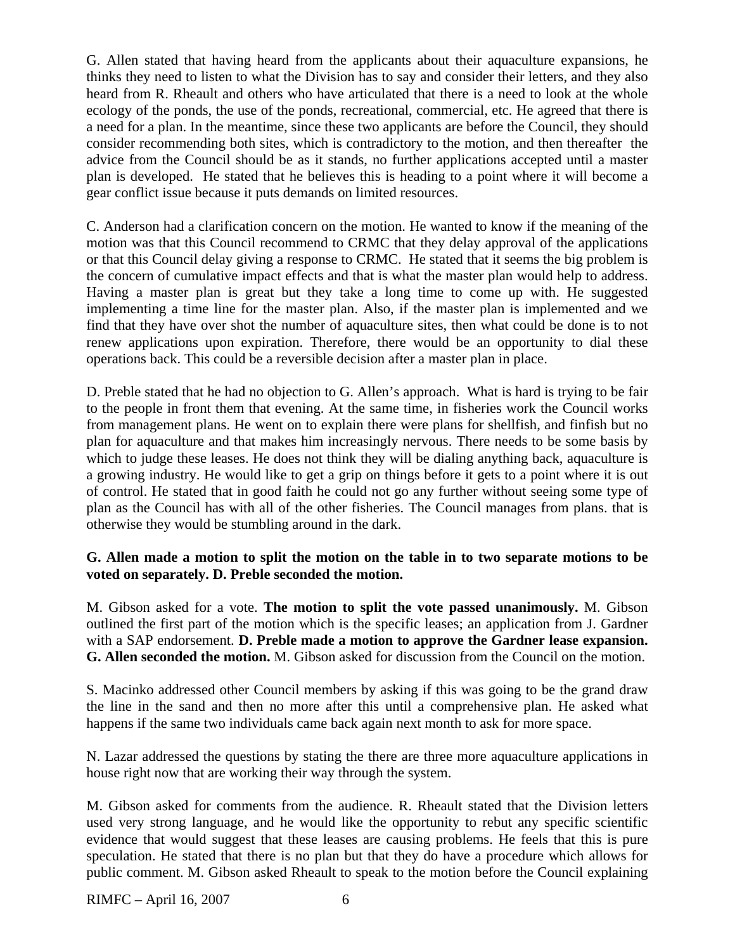G. Allen stated that having heard from the applicants about their aquaculture expansions, he thinks they need to listen to what the Division has to say and consider their letters, and they also heard from R. Rheault and others who have articulated that there is a need to look at the whole ecology of the ponds, the use of the ponds, recreational, commercial, etc. He agreed that there is a need for a plan. In the meantime, since these two applicants are before the Council, they should consider recommending both sites, which is contradictory to the motion, and then thereafter the advice from the Council should be as it stands, no further applications accepted until a master plan is developed. He stated that he believes this is heading to a point where it will become a gear conflict issue because it puts demands on limited resources.

C. Anderson had a clarification concern on the motion. He wanted to know if the meaning of the motion was that this Council recommend to CRMC that they delay approval of the applications or that this Council delay giving a response to CRMC. He stated that it seems the big problem is the concern of cumulative impact effects and that is what the master plan would help to address. Having a master plan is great but they take a long time to come up with. He suggested implementing a time line for the master plan. Also, if the master plan is implemented and we find that they have over shot the number of aquaculture sites, then what could be done is to not renew applications upon expiration. Therefore, there would be an opportunity to dial these operations back. This could be a reversible decision after a master plan in place.

D. Preble stated that he had no objection to G. Allen's approach. What is hard is trying to be fair to the people in front them that evening. At the same time, in fisheries work the Council works from management plans. He went on to explain there were plans for shellfish, and finfish but no plan for aquaculture and that makes him increasingly nervous. There needs to be some basis by which to judge these leases. He does not think they will be dialing anything back, aquaculture is a growing industry. He would like to get a grip on things before it gets to a point where it is out of control. He stated that in good faith he could not go any further without seeing some type of plan as the Council has with all of the other fisheries. The Council manages from plans. that is otherwise they would be stumbling around in the dark.

## **G. Allen made a motion to split the motion on the table in to two separate motions to be voted on separately. D. Preble seconded the motion.**

M. Gibson asked for a vote. **The motion to split the vote passed unanimously.** M. Gibson outlined the first part of the motion which is the specific leases; an application from J. Gardner with a SAP endorsement. **D. Preble made a motion to approve the Gardner lease expansion. G. Allen seconded the motion.** M. Gibson asked for discussion from the Council on the motion.

S. Macinko addressed other Council members by asking if this was going to be the grand draw the line in the sand and then no more after this until a comprehensive plan. He asked what happens if the same two individuals came back again next month to ask for more space.

N. Lazar addressed the questions by stating the there are three more aquaculture applications in house right now that are working their way through the system.

M. Gibson asked for comments from the audience. R. Rheault stated that the Division letters used very strong language, and he would like the opportunity to rebut any specific scientific evidence that would suggest that these leases are causing problems. He feels that this is pure speculation. He stated that there is no plan but that they do have a procedure which allows for public comment. M. Gibson asked Rheault to speak to the motion before the Council explaining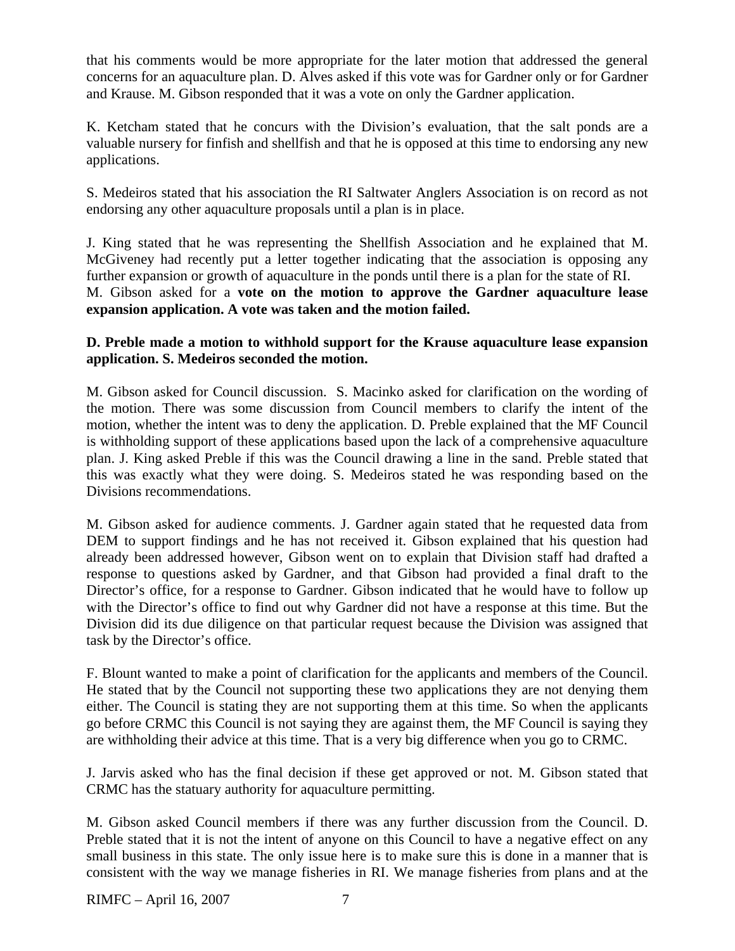that his comments would be more appropriate for the later motion that addressed the general concerns for an aquaculture plan. D. Alves asked if this vote was for Gardner only or for Gardner and Krause. M. Gibson responded that it was a vote on only the Gardner application.

K. Ketcham stated that he concurs with the Division's evaluation, that the salt ponds are a valuable nursery for finfish and shellfish and that he is opposed at this time to endorsing any new applications.

S. Medeiros stated that his association the RI Saltwater Anglers Association is on record as not endorsing any other aquaculture proposals until a plan is in place.

J. King stated that he was representing the Shellfish Association and he explained that M. McGiveney had recently put a letter together indicating that the association is opposing any further expansion or growth of aquaculture in the ponds until there is a plan for the state of RI. M. Gibson asked for a **vote on the motion to approve the Gardner aquaculture lease expansion application. A vote was taken and the motion failed.** 

### **D. Preble made a motion to withhold support for the Krause aquaculture lease expansion application. S. Medeiros seconded the motion.**

M. Gibson asked for Council discussion. S. Macinko asked for clarification on the wording of the motion. There was some discussion from Council members to clarify the intent of the motion, whether the intent was to deny the application. D. Preble explained that the MF Council is withholding support of these applications based upon the lack of a comprehensive aquaculture plan. J. King asked Preble if this was the Council drawing a line in the sand. Preble stated that this was exactly what they were doing. S. Medeiros stated he was responding based on the Divisions recommendations.

M. Gibson asked for audience comments. J. Gardner again stated that he requested data from DEM to support findings and he has not received it. Gibson explained that his question had already been addressed however, Gibson went on to explain that Division staff had drafted a response to questions asked by Gardner, and that Gibson had provided a final draft to the Director's office, for a response to Gardner. Gibson indicated that he would have to follow up with the Director's office to find out why Gardner did not have a response at this time. But the Division did its due diligence on that particular request because the Division was assigned that task by the Director's office.

F. Blount wanted to make a point of clarification for the applicants and members of the Council. He stated that by the Council not supporting these two applications they are not denying them either. The Council is stating they are not supporting them at this time. So when the applicants go before CRMC this Council is not saying they are against them, the MF Council is saying they are withholding their advice at this time. That is a very big difference when you go to CRMC.

J. Jarvis asked who has the final decision if these get approved or not. M. Gibson stated that CRMC has the statuary authority for aquaculture permitting.

M. Gibson asked Council members if there was any further discussion from the Council. D. Preble stated that it is not the intent of anyone on this Council to have a negative effect on any small business in this state. The only issue here is to make sure this is done in a manner that is consistent with the way we manage fisheries in RI. We manage fisheries from plans and at the

RIMFC – April 16, 2007 7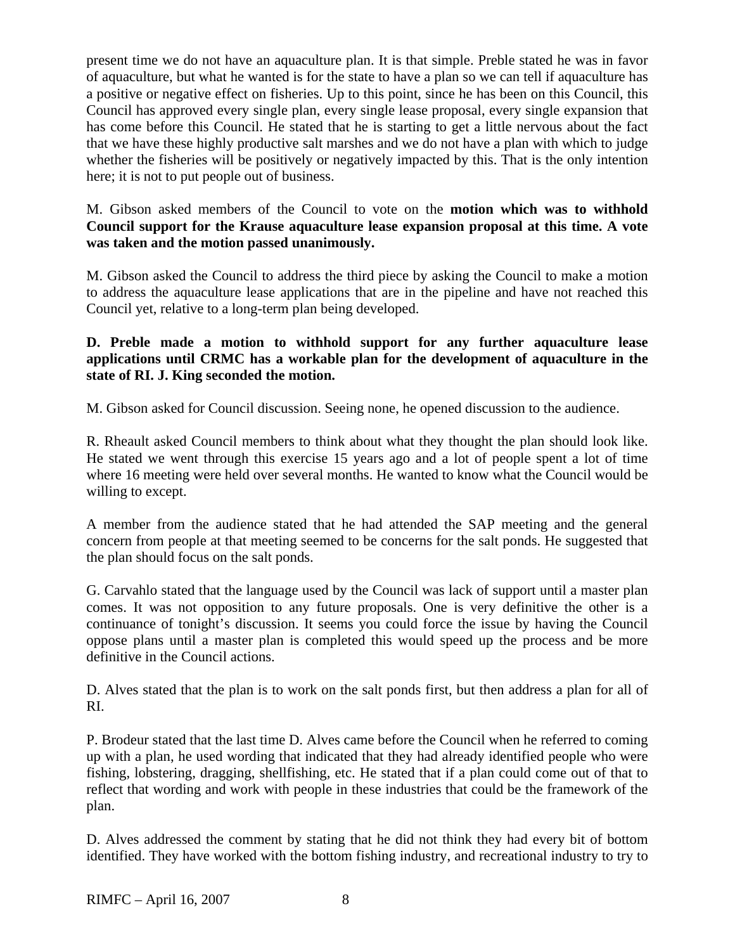present time we do not have an aquaculture plan. It is that simple. Preble stated he was in favor of aquaculture, but what he wanted is for the state to have a plan so we can tell if aquaculture has a positive or negative effect on fisheries. Up to this point, since he has been on this Council, this Council has approved every single plan, every single lease proposal, every single expansion that has come before this Council. He stated that he is starting to get a little nervous about the fact that we have these highly productive salt marshes and we do not have a plan with which to judge whether the fisheries will be positively or negatively impacted by this. That is the only intention here; it is not to put people out of business.

M. Gibson asked members of the Council to vote on the **motion which was to withhold Council support for the Krause aquaculture lease expansion proposal at this time. A vote was taken and the motion passed unanimously.**

M. Gibson asked the Council to address the third piece by asking the Council to make a motion to address the aquaculture lease applications that are in the pipeline and have not reached this Council yet, relative to a long-term plan being developed.

## **D. Preble made a motion to withhold support for any further aquaculture lease applications until CRMC has a workable plan for the development of aquaculture in the state of RI. J. King seconded the motion.**

M. Gibson asked for Council discussion. Seeing none, he opened discussion to the audience.

R. Rheault asked Council members to think about what they thought the plan should look like. He stated we went through this exercise 15 years ago and a lot of people spent a lot of time where 16 meeting were held over several months. He wanted to know what the Council would be willing to except.

A member from the audience stated that he had attended the SAP meeting and the general concern from people at that meeting seemed to be concerns for the salt ponds. He suggested that the plan should focus on the salt ponds.

G. Carvahlo stated that the language used by the Council was lack of support until a master plan comes. It was not opposition to any future proposals. One is very definitive the other is a continuance of tonight's discussion. It seems you could force the issue by having the Council oppose plans until a master plan is completed this would speed up the process and be more definitive in the Council actions.

D. Alves stated that the plan is to work on the salt ponds first, but then address a plan for all of RI.

P. Brodeur stated that the last time D. Alves came before the Council when he referred to coming up with a plan, he used wording that indicated that they had already identified people who were fishing, lobstering, dragging, shellfishing, etc. He stated that if a plan could come out of that to reflect that wording and work with people in these industries that could be the framework of the plan.

D. Alves addressed the comment by stating that he did not think they had every bit of bottom identified. They have worked with the bottom fishing industry, and recreational industry to try to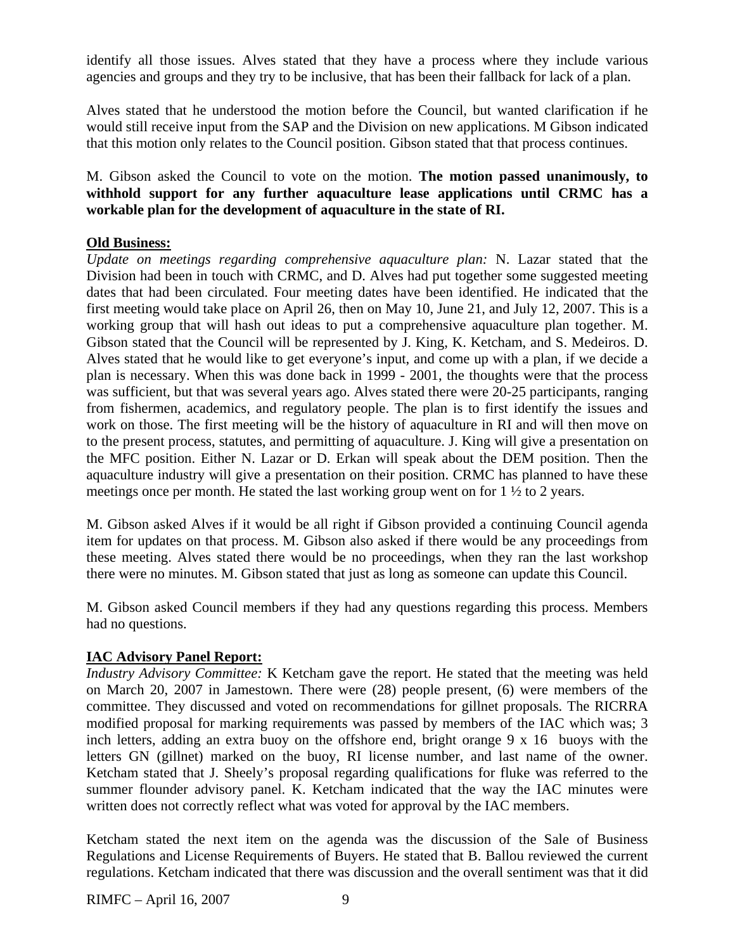identify all those issues. Alves stated that they have a process where they include various agencies and groups and they try to be inclusive, that has been their fallback for lack of a plan.

Alves stated that he understood the motion before the Council, but wanted clarification if he would still receive input from the SAP and the Division on new applications. M Gibson indicated that this motion only relates to the Council position. Gibson stated that that process continues.

M. Gibson asked the Council to vote on the motion. **The motion passed unanimously, to withhold support for any further aquaculture lease applications until CRMC has a workable plan for the development of aquaculture in the state of RI.**

### **Old Business:**

*Update on meetings regarding comprehensive aquaculture plan:* N. Lazar stated that the Division had been in touch with CRMC, and D. Alves had put together some suggested meeting dates that had been circulated. Four meeting dates have been identified. He indicated that the first meeting would take place on April 26, then on May 10, June 21, and July 12, 2007. This is a working group that will hash out ideas to put a comprehensive aquaculture plan together. M. Gibson stated that the Council will be represented by J. King, K. Ketcham, and S. Medeiros. D. Alves stated that he would like to get everyone's input, and come up with a plan, if we decide a plan is necessary. When this was done back in 1999 - 2001, the thoughts were that the process was sufficient, but that was several years ago. Alves stated there were 20-25 participants, ranging from fishermen, academics, and regulatory people. The plan is to first identify the issues and work on those. The first meeting will be the history of aquaculture in RI and will then move on to the present process, statutes, and permitting of aquaculture. J. King will give a presentation on the MFC position. Either N. Lazar or D. Erkan will speak about the DEM position. Then the aquaculture industry will give a presentation on their position. CRMC has planned to have these meetings once per month. He stated the last working group went on for 1 ½ to 2 years.

M. Gibson asked Alves if it would be all right if Gibson provided a continuing Council agenda item for updates on that process. M. Gibson also asked if there would be any proceedings from these meeting. Alves stated there would be no proceedings, when they ran the last workshop there were no minutes. M. Gibson stated that just as long as someone can update this Council.

M. Gibson asked Council members if they had any questions regarding this process. Members had no questions.

## **IAC Advisory Panel Report:**

*Industry Advisory Committee:* K Ketcham gave the report. He stated that the meeting was held on March 20, 2007 in Jamestown. There were (28) people present, (6) were members of the committee. They discussed and voted on recommendations for gillnet proposals. The RICRRA modified proposal for marking requirements was passed by members of the IAC which was; 3 inch letters, adding an extra buoy on the offshore end, bright orange 9 x 16 buoys with the letters GN (gillnet) marked on the buoy, RI license number, and last name of the owner. Ketcham stated that J. Sheely's proposal regarding qualifications for fluke was referred to the summer flounder advisory panel. K. Ketcham indicated that the way the IAC minutes were written does not correctly reflect what was voted for approval by the IAC members.

Ketcham stated the next item on the agenda was the discussion of the Sale of Business Regulations and License Requirements of Buyers. He stated that B. Ballou reviewed the current regulations. Ketcham indicated that there was discussion and the overall sentiment was that it did

RIMFC – April 16, 2007 9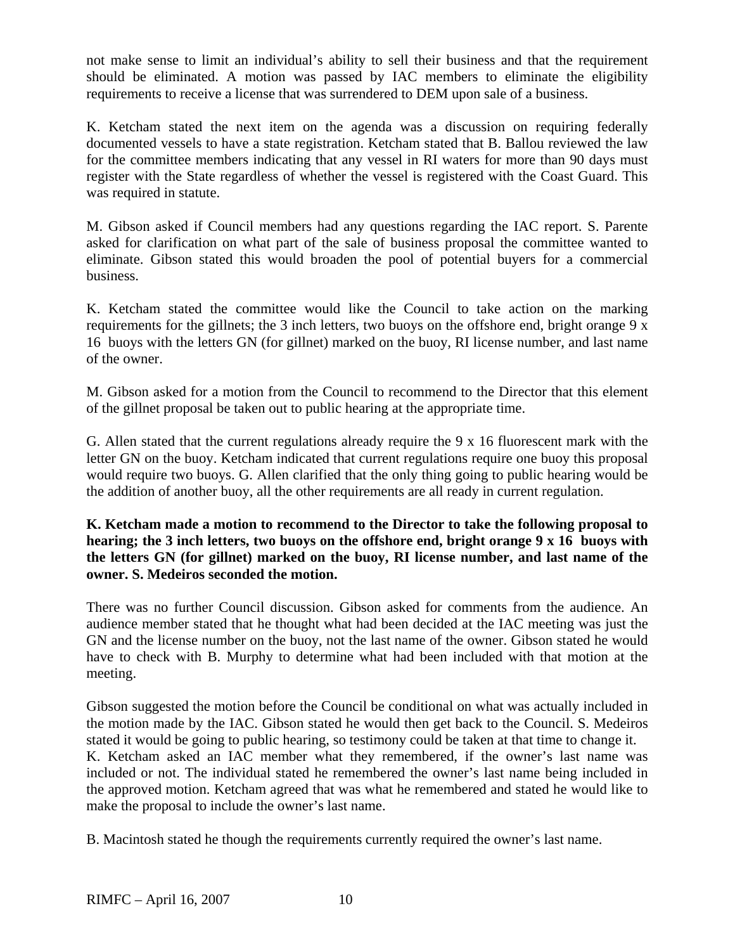not make sense to limit an individual's ability to sell their business and that the requirement should be eliminated. A motion was passed by IAC members to eliminate the eligibility requirements to receive a license that was surrendered to DEM upon sale of a business.

K. Ketcham stated the next item on the agenda was a discussion on requiring federally documented vessels to have a state registration. Ketcham stated that B. Ballou reviewed the law for the committee members indicating that any vessel in RI waters for more than 90 days must register with the State regardless of whether the vessel is registered with the Coast Guard. This was required in statute.

M. Gibson asked if Council members had any questions regarding the IAC report. S. Parente asked for clarification on what part of the sale of business proposal the committee wanted to eliminate. Gibson stated this would broaden the pool of potential buyers for a commercial business.

K. Ketcham stated the committee would like the Council to take action on the marking requirements for the gillnets; the 3 inch letters, two buoys on the offshore end, bright orange 9 x 16 buoys with the letters GN (for gillnet) marked on the buoy, RI license number, and last name of the owner.

M. Gibson asked for a motion from the Council to recommend to the Director that this element of the gillnet proposal be taken out to public hearing at the appropriate time.

G. Allen stated that the current regulations already require the 9 x 16 fluorescent mark with the letter GN on the buoy. Ketcham indicated that current regulations require one buoy this proposal would require two buoys. G. Allen clarified that the only thing going to public hearing would be the addition of another buoy, all the other requirements are all ready in current regulation.

### **K. Ketcham made a motion to recommend to the Director to take the following proposal to hearing; the 3 inch letters, two buoys on the offshore end, bright orange 9 x 16 buoys with the letters GN (for gillnet) marked on the buoy, RI license number, and last name of the owner. S. Medeiros seconded the motion.**

There was no further Council discussion. Gibson asked for comments from the audience. An audience member stated that he thought what had been decided at the IAC meeting was just the GN and the license number on the buoy, not the last name of the owner. Gibson stated he would have to check with B. Murphy to determine what had been included with that motion at the meeting.

Gibson suggested the motion before the Council be conditional on what was actually included in the motion made by the IAC. Gibson stated he would then get back to the Council. S. Medeiros stated it would be going to public hearing, so testimony could be taken at that time to change it. K. Ketcham asked an IAC member what they remembered, if the owner's last name was included or not. The individual stated he remembered the owner's last name being included in the approved motion. Ketcham agreed that was what he remembered and stated he would like to make the proposal to include the owner's last name.

B. Macintosh stated he though the requirements currently required the owner's last name.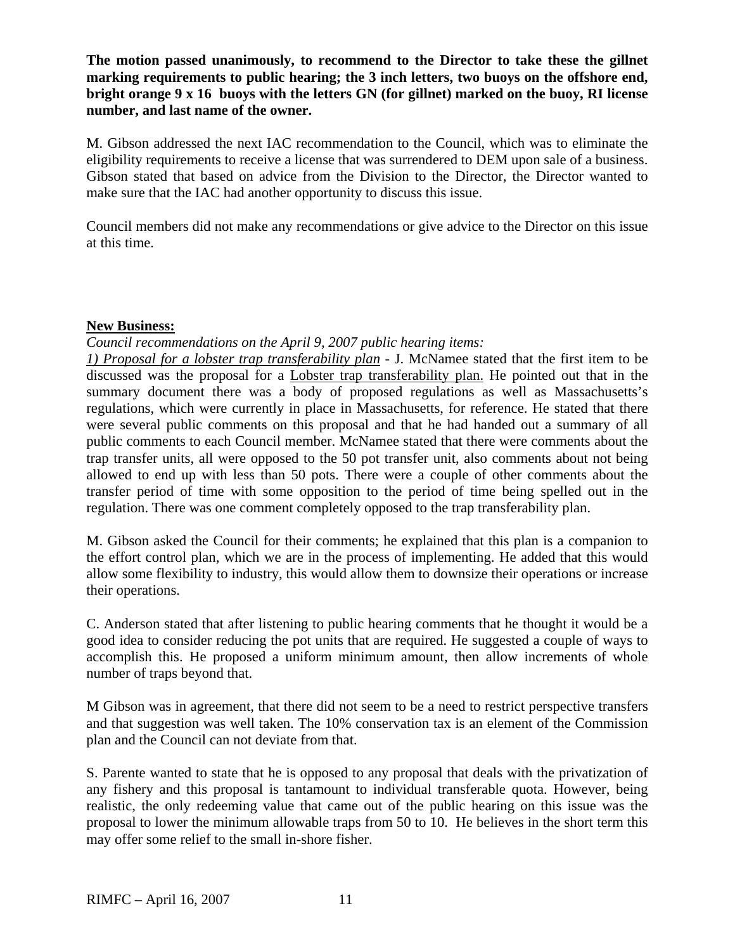**The motion passed unanimously, to recommend to the Director to take these the gillnet marking requirements to public hearing; the 3 inch letters, two buoys on the offshore end, bright orange 9 x 16 buoys with the letters GN (for gillnet) marked on the buoy, RI license number, and last name of the owner.**

M. Gibson addressed the next IAC recommendation to the Council, which was to eliminate the eligibility requirements to receive a license that was surrendered to DEM upon sale of a business. Gibson stated that based on advice from the Division to the Director, the Director wanted to make sure that the IAC had another opportunity to discuss this issue.

Council members did not make any recommendations or give advice to the Director on this issue at this time.

### **New Business:**

*Council recommendations on the April 9, 2007 public hearing items:*

*1) Proposal for a lobster trap transferability plan* - J. McNamee stated that the first item to be discussed was the proposal for a Lobster trap transferability plan. He pointed out that in the summary document there was a body of proposed regulations as well as Massachusetts's regulations, which were currently in place in Massachusetts, for reference. He stated that there were several public comments on this proposal and that he had handed out a summary of all public comments to each Council member. McNamee stated that there were comments about the trap transfer units, all were opposed to the 50 pot transfer unit, also comments about not being allowed to end up with less than 50 pots. There were a couple of other comments about the transfer period of time with some opposition to the period of time being spelled out in the regulation. There was one comment completely opposed to the trap transferability plan.

M. Gibson asked the Council for their comments; he explained that this plan is a companion to the effort control plan, which we are in the process of implementing. He added that this would allow some flexibility to industry, this would allow them to downsize their operations or increase their operations.

C. Anderson stated that after listening to public hearing comments that he thought it would be a good idea to consider reducing the pot units that are required. He suggested a couple of ways to accomplish this. He proposed a uniform minimum amount, then allow increments of whole number of traps beyond that.

M Gibson was in agreement, that there did not seem to be a need to restrict perspective transfers and that suggestion was well taken. The 10% conservation tax is an element of the Commission plan and the Council can not deviate from that.

S. Parente wanted to state that he is opposed to any proposal that deals with the privatization of any fishery and this proposal is tantamount to individual transferable quota. However, being realistic, the only redeeming value that came out of the public hearing on this issue was the proposal to lower the minimum allowable traps from 50 to 10. He believes in the short term this may offer some relief to the small in-shore fisher.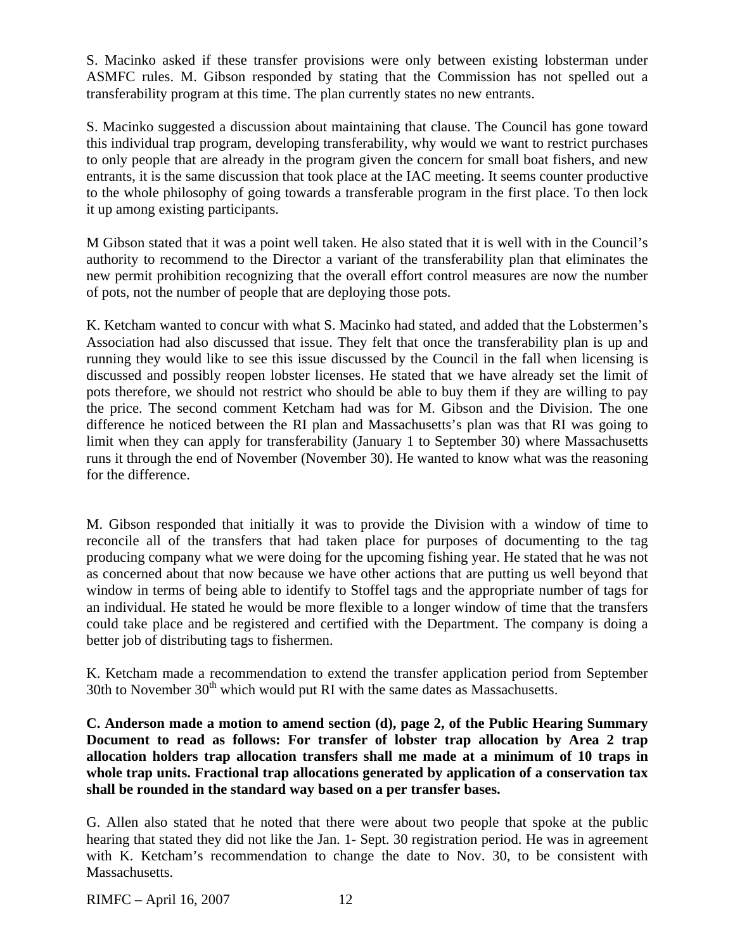S. Macinko asked if these transfer provisions were only between existing lobsterman under ASMFC rules. M. Gibson responded by stating that the Commission has not spelled out a transferability program at this time. The plan currently states no new entrants.

S. Macinko suggested a discussion about maintaining that clause. The Council has gone toward this individual trap program, developing transferability, why would we want to restrict purchases to only people that are already in the program given the concern for small boat fishers, and new entrants, it is the same discussion that took place at the IAC meeting. It seems counter productive to the whole philosophy of going towards a transferable program in the first place. To then lock it up among existing participants.

M Gibson stated that it was a point well taken. He also stated that it is well with in the Council's authority to recommend to the Director a variant of the transferability plan that eliminates the new permit prohibition recognizing that the overall effort control measures are now the number of pots, not the number of people that are deploying those pots.

K. Ketcham wanted to concur with what S. Macinko had stated, and added that the Lobstermen's Association had also discussed that issue. They felt that once the transferability plan is up and running they would like to see this issue discussed by the Council in the fall when licensing is discussed and possibly reopen lobster licenses. He stated that we have already set the limit of pots therefore, we should not restrict who should be able to buy them if they are willing to pay the price. The second comment Ketcham had was for M. Gibson and the Division. The one difference he noticed between the RI plan and Massachusetts's plan was that RI was going to limit when they can apply for transferability (January 1 to September 30) where Massachusetts runs it through the end of November (November 30). He wanted to know what was the reasoning for the difference.

M. Gibson responded that initially it was to provide the Division with a window of time to reconcile all of the transfers that had taken place for purposes of documenting to the tag producing company what we were doing for the upcoming fishing year. He stated that he was not as concerned about that now because we have other actions that are putting us well beyond that window in terms of being able to identify to Stoffel tags and the appropriate number of tags for an individual. He stated he would be more flexible to a longer window of time that the transfers could take place and be registered and certified with the Department. The company is doing a better job of distributing tags to fishermen.

K. Ketcham made a recommendation to extend the transfer application period from September 30th to November  $30<sup>th</sup>$  which would put RI with the same dates as Massachusetts.

**C. Anderson made a motion to amend section (d), page 2, of the Public Hearing Summary Document to read as follows: For transfer of lobster trap allocation by Area 2 trap allocation holders trap allocation transfers shall me made at a minimum of 10 traps in whole trap units. Fractional trap allocations generated by application of a conservation tax shall be rounded in the standard way based on a per transfer bases.** 

G. Allen also stated that he noted that there were about two people that spoke at the public hearing that stated they did not like the Jan. 1- Sept. 30 registration period. He was in agreement with K. Ketcham's recommendation to change the date to Nov. 30, to be consistent with Massachusetts.

RIMFC – April 16, 2007 12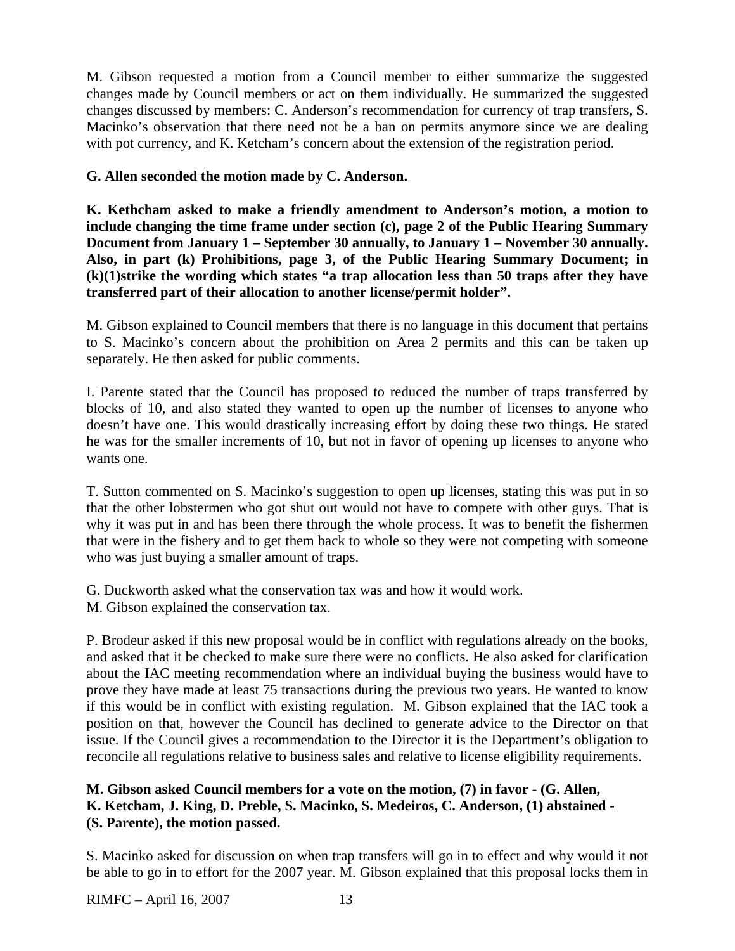M. Gibson requested a motion from a Council member to either summarize the suggested changes made by Council members or act on them individually. He summarized the suggested changes discussed by members: C. Anderson's recommendation for currency of trap transfers, S. Macinko's observation that there need not be a ban on permits anymore since we are dealing with pot currency, and K. Ketcham's concern about the extension of the registration period.

## **G. Allen seconded the motion made by C. Anderson.**

**K. Kethcham asked to make a friendly amendment to Anderson's motion, a motion to include changing the time frame under section (c), page 2 of the Public Hearing Summary Document from January 1 – September 30 annually, to January 1 – November 30 annually. Also, in part (k) Prohibitions, page 3, of the Public Hearing Summary Document; in (k)(1)strike the wording which states "a trap allocation less than 50 traps after they have transferred part of their allocation to another license/permit holder".** 

M. Gibson explained to Council members that there is no language in this document that pertains to S. Macinko's concern about the prohibition on Area 2 permits and this can be taken up separately. He then asked for public comments.

I. Parente stated that the Council has proposed to reduced the number of traps transferred by blocks of 10, and also stated they wanted to open up the number of licenses to anyone who doesn't have one. This would drastically increasing effort by doing these two things. He stated he was for the smaller increments of 10, but not in favor of opening up licenses to anyone who wants one.

T. Sutton commented on S. Macinko's suggestion to open up licenses, stating this was put in so that the other lobstermen who got shut out would not have to compete with other guys. That is why it was put in and has been there through the whole process. It was to benefit the fishermen that were in the fishery and to get them back to whole so they were not competing with someone who was just buying a smaller amount of traps.

G. Duckworth asked what the conservation tax was and how it would work. M. Gibson explained the conservation tax.

P. Brodeur asked if this new proposal would be in conflict with regulations already on the books, and asked that it be checked to make sure there were no conflicts. He also asked for clarification about the IAC meeting recommendation where an individual buying the business would have to prove they have made at least 75 transactions during the previous two years. He wanted to know if this would be in conflict with existing regulation. M. Gibson explained that the IAC took a position on that, however the Council has declined to generate advice to the Director on that issue. If the Council gives a recommendation to the Director it is the Department's obligation to reconcile all regulations relative to business sales and relative to license eligibility requirements.

## **M. Gibson asked Council members for a vote on the motion, (7) in favor - (G. Allen, K. Ketcham, J. King, D. Preble, S. Macinko, S. Medeiros, C. Anderson, (1) abstained - (S. Parente), the motion passed.**

S. Macinko asked for discussion on when trap transfers will go in to effect and why would it not be able to go in to effort for the 2007 year. M. Gibson explained that this proposal locks them in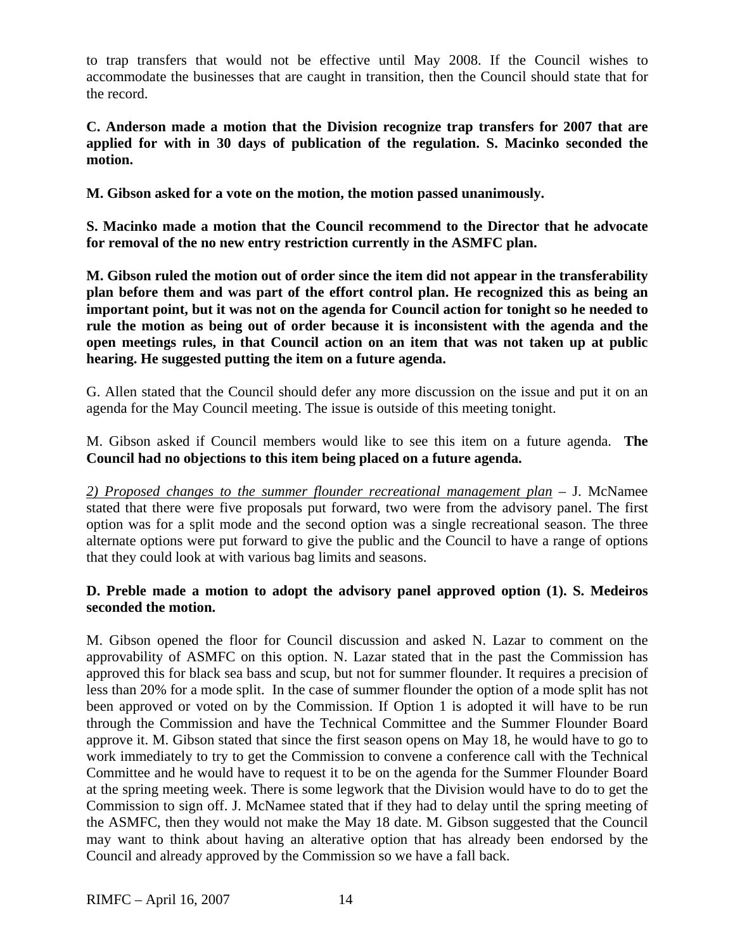to trap transfers that would not be effective until May 2008. If the Council wishes to accommodate the businesses that are caught in transition, then the Council should state that for the record.

**C. Anderson made a motion that the Division recognize trap transfers for 2007 that are applied for with in 30 days of publication of the regulation. S. Macinko seconded the motion.** 

**M. Gibson asked for a vote on the motion, the motion passed unanimously.** 

**S. Macinko made a motion that the Council recommend to the Director that he advocate for removal of the no new entry restriction currently in the ASMFC plan.** 

**M. Gibson ruled the motion out of order since the item did not appear in the transferability plan before them and was part of the effort control plan. He recognized this as being an important point, but it was not on the agenda for Council action for tonight so he needed to rule the motion as being out of order because it is inconsistent with the agenda and the open meetings rules, in that Council action on an item that was not taken up at public hearing. He suggested putting the item on a future agenda.** 

G. Allen stated that the Council should defer any more discussion on the issue and put it on an agenda for the May Council meeting. The issue is outside of this meeting tonight.

M. Gibson asked if Council members would like to see this item on a future agenda. **The Council had no objections to this item being placed on a future agenda.** 

*2) Proposed changes to the summer flounder recreational management plan* – J. McNamee stated that there were five proposals put forward, two were from the advisory panel. The first option was for a split mode and the second option was a single recreational season. The three alternate options were put forward to give the public and the Council to have a range of options that they could look at with various bag limits and seasons.

# **D. Preble made a motion to adopt the advisory panel approved option (1). S. Medeiros seconded the motion.**

M. Gibson opened the floor for Council discussion and asked N. Lazar to comment on the approvability of ASMFC on this option. N. Lazar stated that in the past the Commission has approved this for black sea bass and scup, but not for summer flounder. It requires a precision of less than 20% for a mode split. In the case of summer flounder the option of a mode split has not been approved or voted on by the Commission. If Option 1 is adopted it will have to be run through the Commission and have the Technical Committee and the Summer Flounder Board approve it. M. Gibson stated that since the first season opens on May 18, he would have to go to work immediately to try to get the Commission to convene a conference call with the Technical Committee and he would have to request it to be on the agenda for the Summer Flounder Board at the spring meeting week. There is some legwork that the Division would have to do to get the Commission to sign off. J. McNamee stated that if they had to delay until the spring meeting of the ASMFC, then they would not make the May 18 date. M. Gibson suggested that the Council may want to think about having an alterative option that has already been endorsed by the Council and already approved by the Commission so we have a fall back.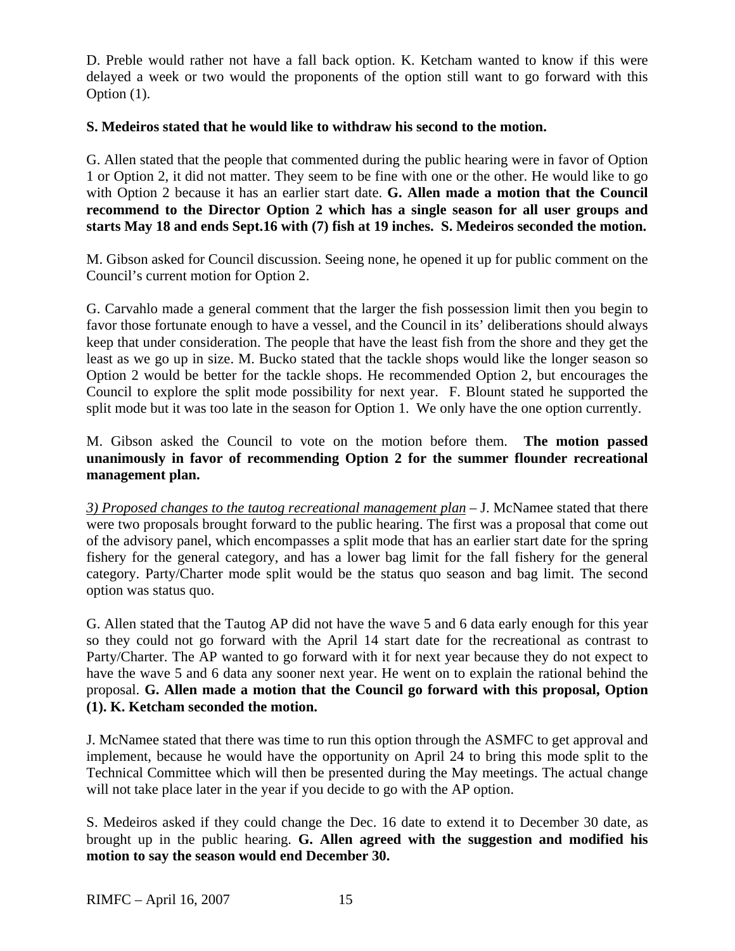D. Preble would rather not have a fall back option. K. Ketcham wanted to know if this were delayed a week or two would the proponents of the option still want to go forward with this Option (1).

## **S. Medeiros stated that he would like to withdraw his second to the motion.**

G. Allen stated that the people that commented during the public hearing were in favor of Option 1 or Option 2, it did not matter. They seem to be fine with one or the other. He would like to go with Option 2 because it has an earlier start date. **G. Allen made a motion that the Council recommend to the Director Option 2 which has a single season for all user groups and starts May 18 and ends Sept.16 with (7) fish at 19 inches. S. Medeiros seconded the motion.**

M. Gibson asked for Council discussion. Seeing none, he opened it up for public comment on the Council's current motion for Option 2.

G. Carvahlo made a general comment that the larger the fish possession limit then you begin to favor those fortunate enough to have a vessel, and the Council in its' deliberations should always keep that under consideration. The people that have the least fish from the shore and they get the least as we go up in size. M. Bucko stated that the tackle shops would like the longer season so Option 2 would be better for the tackle shops. He recommended Option 2, but encourages the Council to explore the split mode possibility for next year. F. Blount stated he supported the split mode but it was too late in the season for Option 1. We only have the one option currently.

M. Gibson asked the Council to vote on the motion before them. **The motion passed unanimously in favor of recommending Option 2 for the summer flounder recreational management plan.**

*3) Proposed changes to the tautog recreational management plan* – J. McNamee stated that there were two proposals brought forward to the public hearing. The first was a proposal that come out of the advisory panel, which encompasses a split mode that has an earlier start date for the spring fishery for the general category, and has a lower bag limit for the fall fishery for the general category. Party/Charter mode split would be the status quo season and bag limit. The second option was status quo.

G. Allen stated that the Tautog AP did not have the wave 5 and 6 data early enough for this year so they could not go forward with the April 14 start date for the recreational as contrast to Party/Charter. The AP wanted to go forward with it for next year because they do not expect to have the wave 5 and 6 data any sooner next year. He went on to explain the rational behind the proposal. **G. Allen made a motion that the Council go forward with this proposal, Option (1). K. Ketcham seconded the motion.** 

J. McNamee stated that there was time to run this option through the ASMFC to get approval and implement, because he would have the opportunity on April 24 to bring this mode split to the Technical Committee which will then be presented during the May meetings. The actual change will not take place later in the year if you decide to go with the AP option.

S. Medeiros asked if they could change the Dec. 16 date to extend it to December 30 date, as brought up in the public hearing. **G. Allen agreed with the suggestion and modified his motion to say the season would end December 30.**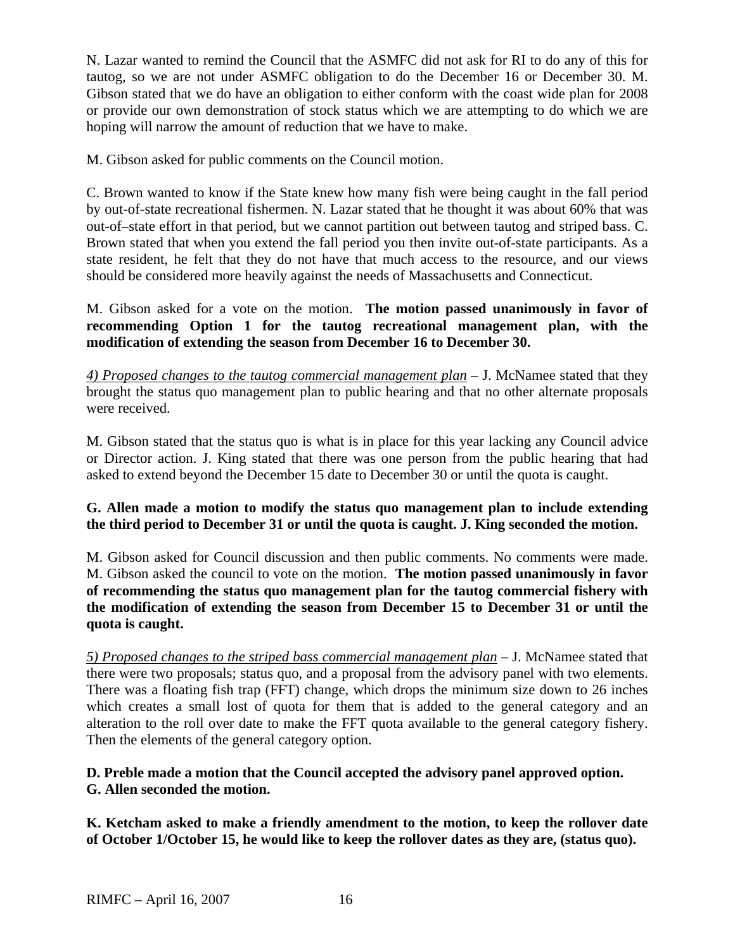N. Lazar wanted to remind the Council that the ASMFC did not ask for RI to do any of this for tautog, so we are not under ASMFC obligation to do the December 16 or December 30. M. Gibson stated that we do have an obligation to either conform with the coast wide plan for 2008 or provide our own demonstration of stock status which we are attempting to do which we are hoping will narrow the amount of reduction that we have to make.

M. Gibson asked for public comments on the Council motion.

C. Brown wanted to know if the State knew how many fish were being caught in the fall period by out-of-state recreational fishermen. N. Lazar stated that he thought it was about 60% that was out-of–state effort in that period, but we cannot partition out between tautog and striped bass. C. Brown stated that when you extend the fall period you then invite out-of-state participants. As a state resident, he felt that they do not have that much access to the resource, and our views should be considered more heavily against the needs of Massachusetts and Connecticut.

M. Gibson asked for a vote on the motion. **The motion passed unanimously in favor of recommending Option 1 for the tautog recreational management plan, with the modification of extending the season from December 16 to December 30.**

*4) Proposed changes to the tautog commercial management plan* – J. McNamee stated that they brought the status quo management plan to public hearing and that no other alternate proposals were received.

M. Gibson stated that the status quo is what is in place for this year lacking any Council advice or Director action. J. King stated that there was one person from the public hearing that had asked to extend beyond the December 15 date to December 30 or until the quota is caught.

# **G. Allen made a motion to modify the status quo management plan to include extending the third period to December 31 or until the quota is caught. J. King seconded the motion.**

M. Gibson asked for Council discussion and then public comments. No comments were made. M. Gibson asked the council to vote on the motion. **The motion passed unanimously in favor of recommending the status quo management plan for the tautog commercial fishery with the modification of extending the season from December 15 to December 31 or until the quota is caught.**

*5) Proposed changes to the striped bass commercial management plan* – J. McNamee stated that there were two proposals; status quo, and a proposal from the advisory panel with two elements. There was a floating fish trap (FFT) change, which drops the minimum size down to 26 inches which creates a small lost of quota for them that is added to the general category and an alteration to the roll over date to make the FFT quota available to the general category fishery. Then the elements of the general category option.

## **D. Preble made a motion that the Council accepted the advisory panel approved option. G. Allen seconded the motion.**

**K. Ketcham asked to make a friendly amendment to the motion, to keep the rollover date of October 1/October 15, he would like to keep the rollover dates as they are, (status quo).**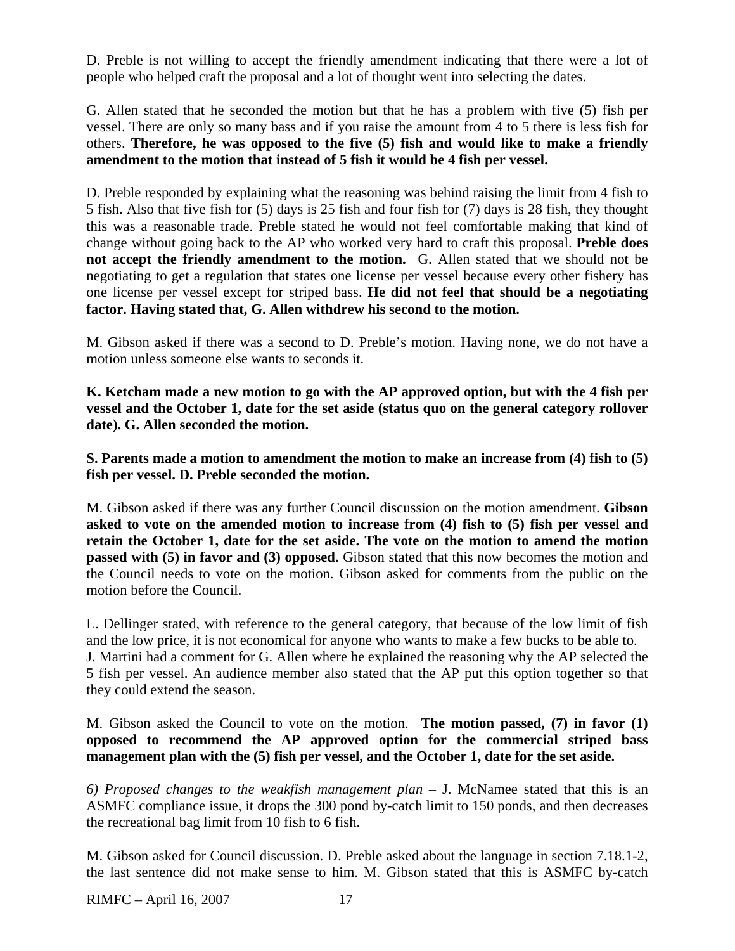D. Preble is not willing to accept the friendly amendment indicating that there were a lot of people who helped craft the proposal and a lot of thought went into selecting the dates.

G. Allen stated that he seconded the motion but that he has a problem with five (5) fish per vessel. There are only so many bass and if you raise the amount from 4 to 5 there is less fish for others. **Therefore, he was opposed to the five (5) fish and would like to make a friendly amendment to the motion that instead of 5 fish it would be 4 fish per vessel.** 

D. Preble responded by explaining what the reasoning was behind raising the limit from 4 fish to 5 fish. Also that five fish for (5) days is 25 fish and four fish for (7) days is 28 fish, they thought this was a reasonable trade. Preble stated he would not feel comfortable making that kind of change without going back to the AP who worked very hard to craft this proposal. **Preble does not accept the friendly amendment to the motion.** G. Allen stated that we should not be negotiating to get a regulation that states one license per vessel because every other fishery has one license per vessel except for striped bass. **He did not feel that should be a negotiating factor. Having stated that, G. Allen withdrew his second to the motion.** 

M. Gibson asked if there was a second to D. Preble's motion. Having none, we do not have a motion unless someone else wants to seconds it.

**K. Ketcham made a new motion to go with the AP approved option, but with the 4 fish per vessel and the October 1, date for the set aside (status quo on the general category rollover date). G. Allen seconded the motion.** 

**S. Parents made a motion to amendment the motion to make an increase from (4) fish to (5) fish per vessel. D. Preble seconded the motion.**

M. Gibson asked if there was any further Council discussion on the motion amendment. **Gibson asked to vote on the amended motion to increase from (4) fish to (5) fish per vessel and retain the October 1, date for the set aside. The vote on the motion to amend the motion passed with (5) in favor and (3) opposed.** Gibson stated that this now becomes the motion and the Council needs to vote on the motion. Gibson asked for comments from the public on the motion before the Council.

L. Dellinger stated, with reference to the general category, that because of the low limit of fish and the low price, it is not economical for anyone who wants to make a few bucks to be able to. J. Martini had a comment for G. Allen where he explained the reasoning why the AP selected the 5 fish per vessel. An audience member also stated that the AP put this option together so that they could extend the season.

M. Gibson asked the Council to vote on the motion. **The motion passed, (7) in favor (1) opposed to recommend the AP approved option for the commercial striped bass management plan with the (5) fish per vessel, and the October 1, date for the set aside.**

*6) Proposed changes to the weakfish management plan* – J. McNamee stated that this is an ASMFC compliance issue, it drops the 300 pond by-catch limit to 150 ponds, and then decreases the recreational bag limit from 10 fish to 6 fish.

M. Gibson asked for Council discussion. D. Preble asked about the language in section 7.18.1-2, the last sentence did not make sense to him. M. Gibson stated that this is ASMFC by-catch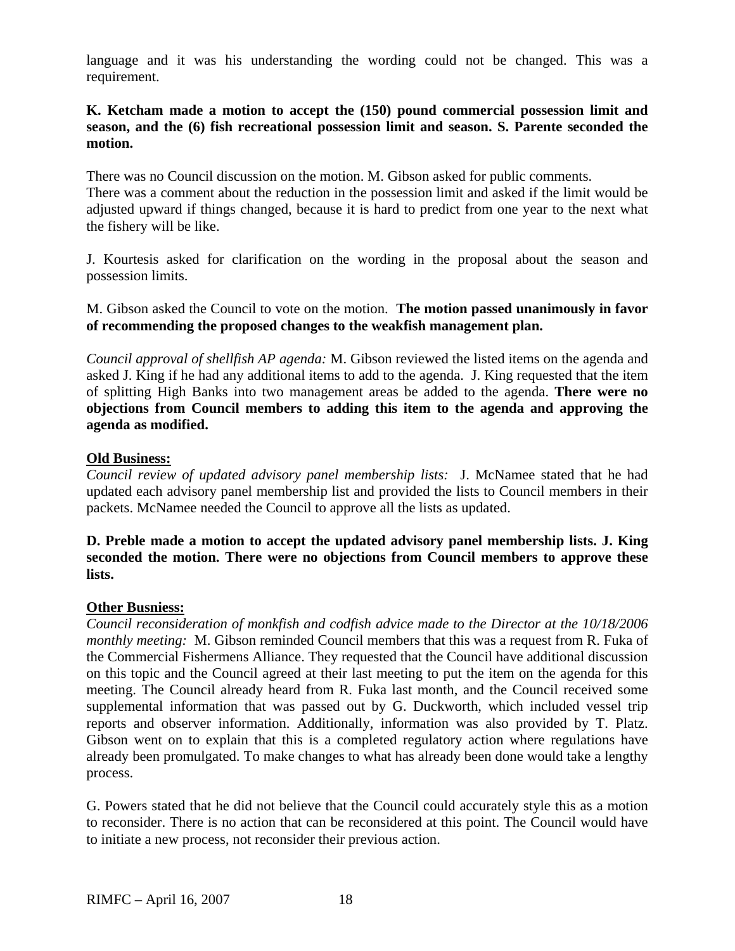language and it was his understanding the wording could not be changed. This was a requirement.

### **K. Ketcham made a motion to accept the (150) pound commercial possession limit and season, and the (6) fish recreational possession limit and season. S. Parente seconded the motion.**

There was no Council discussion on the motion. M. Gibson asked for public comments. There was a comment about the reduction in the possession limit and asked if the limit would be adjusted upward if things changed, because it is hard to predict from one year to the next what the fishery will be like.

J. Kourtesis asked for clarification on the wording in the proposal about the season and possession limits.

M. Gibson asked the Council to vote on the motion. **The motion passed unanimously in favor of recommending the proposed changes to the weakfish management plan.**

*Council approval of shellfish AP agenda:* M. Gibson reviewed the listed items on the agenda and asked J. King if he had any additional items to add to the agenda. J. King requested that the item of splitting High Banks into two management areas be added to the agenda. **There were no objections from Council members to adding this item to the agenda and approving the agenda as modified.** 

### **Old Business:**

*Council review of updated advisory panel membership lists:* J. McNamee stated that he had updated each advisory panel membership list and provided the lists to Council members in their packets. McNamee needed the Council to approve all the lists as updated.

### **D. Preble made a motion to accept the updated advisory panel membership lists. J. King seconded the motion. There were no objections from Council members to approve these lists.**

#### **Other Busniess:**

*Council reconsideration of monkfish and codfish advice made to the Director at the 10/18/2006 monthly meeting:* M. Gibson reminded Council members that this was a request from R. Fuka of the Commercial Fishermens Alliance. They requested that the Council have additional discussion on this topic and the Council agreed at their last meeting to put the item on the agenda for this meeting. The Council already heard from R. Fuka last month, and the Council received some supplemental information that was passed out by G. Duckworth, which included vessel trip reports and observer information. Additionally, information was also provided by T. Platz. Gibson went on to explain that this is a completed regulatory action where regulations have already been promulgated. To make changes to what has already been done would take a lengthy process.

G. Powers stated that he did not believe that the Council could accurately style this as a motion to reconsider. There is no action that can be reconsidered at this point. The Council would have to initiate a new process, not reconsider their previous action.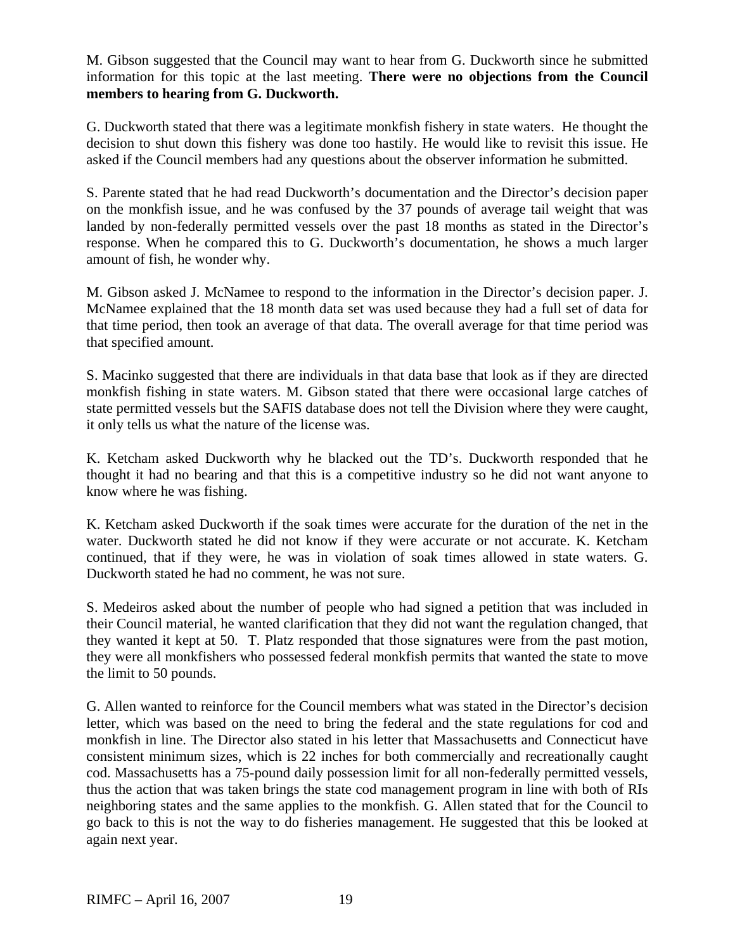M. Gibson suggested that the Council may want to hear from G. Duckworth since he submitted information for this topic at the last meeting. **There were no objections from the Council members to hearing from G. Duckworth.**

G. Duckworth stated that there was a legitimate monkfish fishery in state waters. He thought the decision to shut down this fishery was done too hastily. He would like to revisit this issue. He asked if the Council members had any questions about the observer information he submitted.

S. Parente stated that he had read Duckworth's documentation and the Director's decision paper on the monkfish issue, and he was confused by the 37 pounds of average tail weight that was landed by non-federally permitted vessels over the past 18 months as stated in the Director's response. When he compared this to G. Duckworth's documentation, he shows a much larger amount of fish, he wonder why.

M. Gibson asked J. McNamee to respond to the information in the Director's decision paper. J. McNamee explained that the 18 month data set was used because they had a full set of data for that time period, then took an average of that data. The overall average for that time period was that specified amount.

S. Macinko suggested that there are individuals in that data base that look as if they are directed monkfish fishing in state waters. M. Gibson stated that there were occasional large catches of state permitted vessels but the SAFIS database does not tell the Division where they were caught, it only tells us what the nature of the license was.

K. Ketcham asked Duckworth why he blacked out the TD's. Duckworth responded that he thought it had no bearing and that this is a competitive industry so he did not want anyone to know where he was fishing.

K. Ketcham asked Duckworth if the soak times were accurate for the duration of the net in the water. Duckworth stated he did not know if they were accurate or not accurate. K. Ketcham continued, that if they were, he was in violation of soak times allowed in state waters. G. Duckworth stated he had no comment, he was not sure.

S. Medeiros asked about the number of people who had signed a petition that was included in their Council material, he wanted clarification that they did not want the regulation changed, that they wanted it kept at 50. T. Platz responded that those signatures were from the past motion, they were all monkfishers who possessed federal monkfish permits that wanted the state to move the limit to 50 pounds.

G. Allen wanted to reinforce for the Council members what was stated in the Director's decision letter, which was based on the need to bring the federal and the state regulations for cod and monkfish in line. The Director also stated in his letter that Massachusetts and Connecticut have consistent minimum sizes, which is 22 inches for both commercially and recreationally caught cod. Massachusetts has a 75-pound daily possession limit for all non-federally permitted vessels, thus the action that was taken brings the state cod management program in line with both of RIs neighboring states and the same applies to the monkfish. G. Allen stated that for the Council to go back to this is not the way to do fisheries management. He suggested that this be looked at again next year.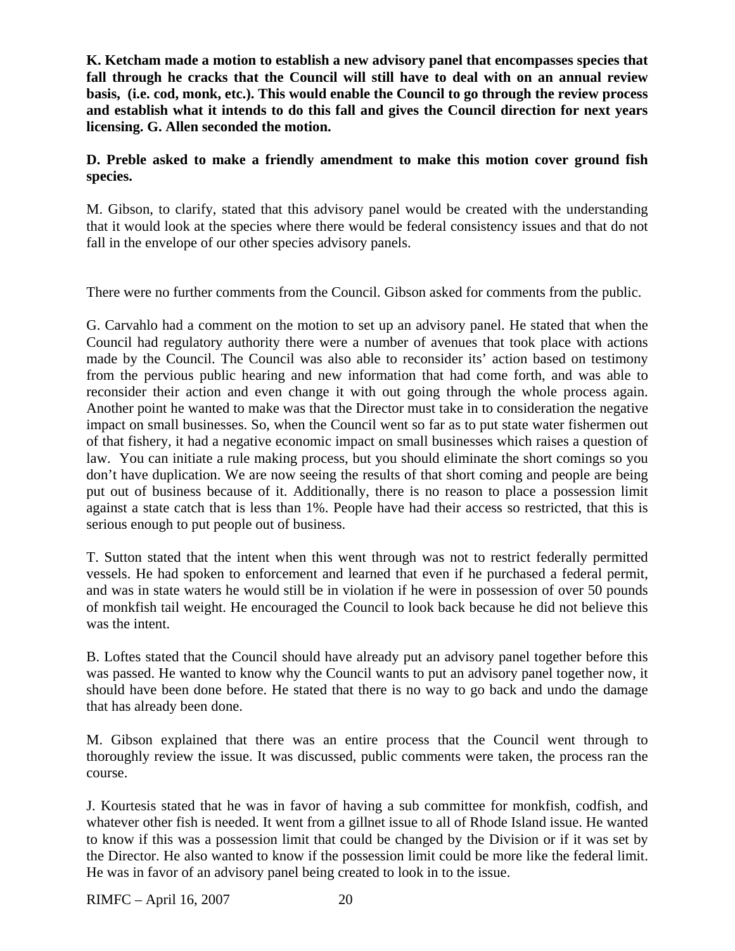**K. Ketcham made a motion to establish a new advisory panel that encompasses species that fall through he cracks that the Council will still have to deal with on an annual review basis, (i.e. cod, monk, etc.). This would enable the Council to go through the review process and establish what it intends to do this fall and gives the Council direction for next years licensing. G. Allen seconded the motion.** 

## **D. Preble asked to make a friendly amendment to make this motion cover ground fish species.**

M. Gibson, to clarify, stated that this advisory panel would be created with the understanding that it would look at the species where there would be federal consistency issues and that do not fall in the envelope of our other species advisory panels.

There were no further comments from the Council. Gibson asked for comments from the public.

G. Carvahlo had a comment on the motion to set up an advisory panel. He stated that when the Council had regulatory authority there were a number of avenues that took place with actions made by the Council. The Council was also able to reconsider its' action based on testimony from the pervious public hearing and new information that had come forth, and was able to reconsider their action and even change it with out going through the whole process again. Another point he wanted to make was that the Director must take in to consideration the negative impact on small businesses. So, when the Council went so far as to put state water fishermen out of that fishery, it had a negative economic impact on small businesses which raises a question of law. You can initiate a rule making process, but you should eliminate the short comings so you don't have duplication. We are now seeing the results of that short coming and people are being put out of business because of it. Additionally, there is no reason to place a possession limit against a state catch that is less than 1%. People have had their access so restricted, that this is serious enough to put people out of business.

T. Sutton stated that the intent when this went through was not to restrict federally permitted vessels. He had spoken to enforcement and learned that even if he purchased a federal permit, and was in state waters he would still be in violation if he were in possession of over 50 pounds of monkfish tail weight. He encouraged the Council to look back because he did not believe this was the intent.

B. Loftes stated that the Council should have already put an advisory panel together before this was passed. He wanted to know why the Council wants to put an advisory panel together now, it should have been done before. He stated that there is no way to go back and undo the damage that has already been done.

M. Gibson explained that there was an entire process that the Council went through to thoroughly review the issue. It was discussed, public comments were taken, the process ran the course.

J. Kourtesis stated that he was in favor of having a sub committee for monkfish, codfish, and whatever other fish is needed. It went from a gillnet issue to all of Rhode Island issue. He wanted to know if this was a possession limit that could be changed by the Division or if it was set by the Director. He also wanted to know if the possession limit could be more like the federal limit. He was in favor of an advisory panel being created to look in to the issue.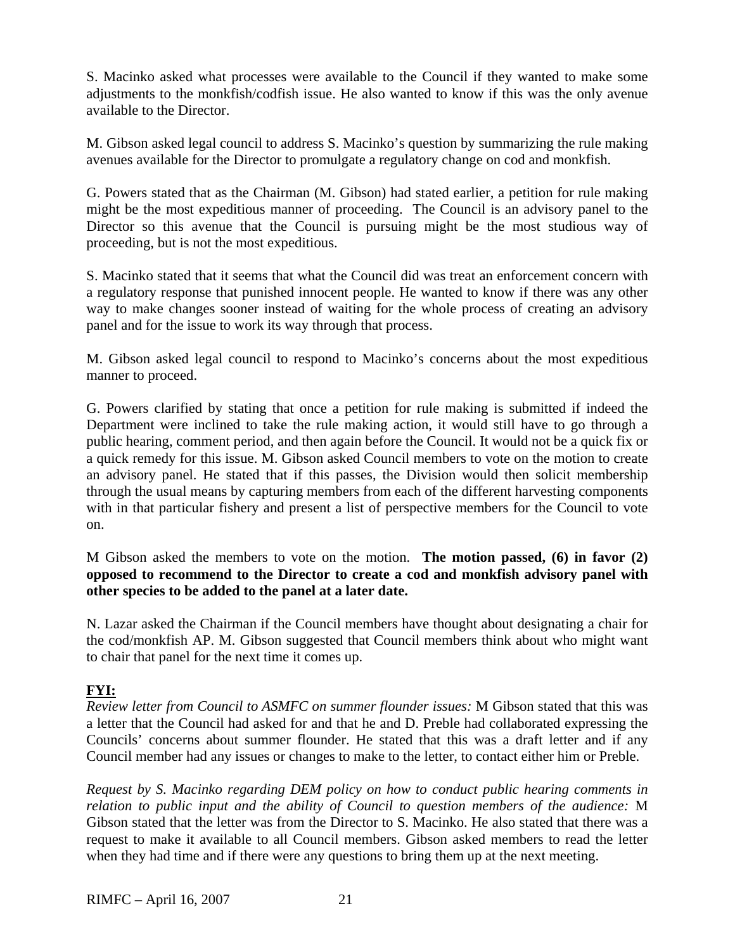S. Macinko asked what processes were available to the Council if they wanted to make some adjustments to the monkfish/codfish issue. He also wanted to know if this was the only avenue available to the Director.

M. Gibson asked legal council to address S. Macinko's question by summarizing the rule making avenues available for the Director to promulgate a regulatory change on cod and monkfish.

G. Powers stated that as the Chairman (M. Gibson) had stated earlier, a petition for rule making might be the most expeditious manner of proceeding. The Council is an advisory panel to the Director so this avenue that the Council is pursuing might be the most studious way of proceeding, but is not the most expeditious.

S. Macinko stated that it seems that what the Council did was treat an enforcement concern with a regulatory response that punished innocent people. He wanted to know if there was any other way to make changes sooner instead of waiting for the whole process of creating an advisory panel and for the issue to work its way through that process.

M. Gibson asked legal council to respond to Macinko's concerns about the most expeditious manner to proceed.

G. Powers clarified by stating that once a petition for rule making is submitted if indeed the Department were inclined to take the rule making action, it would still have to go through a public hearing, comment period, and then again before the Council. It would not be a quick fix or a quick remedy for this issue. M. Gibson asked Council members to vote on the motion to create an advisory panel. He stated that if this passes, the Division would then solicit membership through the usual means by capturing members from each of the different harvesting components with in that particular fishery and present a list of perspective members for the Council to vote on.

M Gibson asked the members to vote on the motion. **The motion passed, (6) in favor (2) opposed to recommend to the Director to create a cod and monkfish advisory panel with other species to be added to the panel at a later date.**

N. Lazar asked the Chairman if the Council members have thought about designating a chair for the cod/monkfish AP. M. Gibson suggested that Council members think about who might want to chair that panel for the next time it comes up.

## **FYI:**

*Review letter from Council to ASMFC on summer flounder issues:* M Gibson stated that this was a letter that the Council had asked for and that he and D. Preble had collaborated expressing the Councils' concerns about summer flounder. He stated that this was a draft letter and if any Council member had any issues or changes to make to the letter, to contact either him or Preble.

*Request by S. Macinko regarding DEM policy on how to conduct public hearing comments in relation to public input and the ability of Council to question members of the audience:* M Gibson stated that the letter was from the Director to S. Macinko. He also stated that there was a request to make it available to all Council members. Gibson asked members to read the letter when they had time and if there were any questions to bring them up at the next meeting.